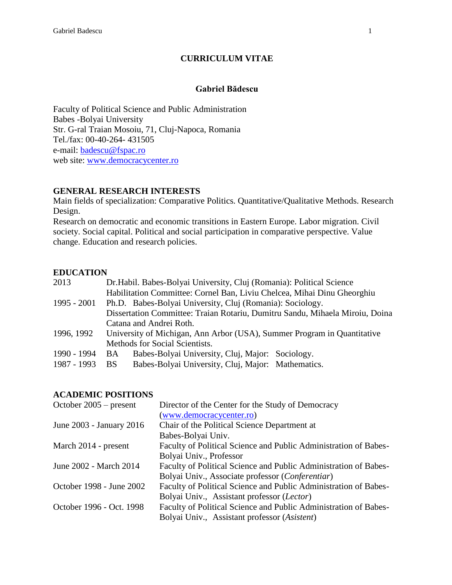#### **CURRICULUM VITAE**

#### **Gabriel Bădescu**

Faculty of Political Science and Public Administration Babes -Bolyai University Str. G-ral Traian Mosoiu, 71, Cluj-Napoca, Romania Tel./fax: 00-40-264- 431505 e-mail: [badescu@fspac.ro](mailto:badescu@fspac.ro) web site: [www.democracycenter.ro](http://www.democracycenter.ro/)

#### **GENERAL RESEARCH INTERESTS**

Main fields of specialization: Comparative Politics. Quantitative/Qualitative Methods. Research Design.

Research on democratic and economic transitions in Eastern Europe. Labor migration. Civil society. Social capital. Political and social participation in comparative perspective. Value change. Education and research policies.

#### **EDUCATION**

| Dr. Habil. Babes-Bolyai University, Cluj (Romania): Political Science        |  |  |
|------------------------------------------------------------------------------|--|--|
| Habilitation Committee: Cornel Ban, Liviu Chelcea, Mihai Dinu Gheorghiu      |  |  |
| Ph.D. Babes-Bolyai University, Cluj (Romania): Sociology.                    |  |  |
| Dissertation Committee: Traian Rotariu, Dumitru Sandu, Mihaela Miroiu, Doina |  |  |
| Catana and Andrei Roth.                                                      |  |  |
| University of Michigan, Ann Arbor (USA), Summer Program in Quantitative      |  |  |
| Methods for Social Scientists.                                               |  |  |
| Babes-Bolyai University, Cluj, Major: Sociology.<br><b>BA</b>                |  |  |
| Babes-Bolyai University, Cluj, Major: Mathematics.<br><b>BS</b>              |  |  |
|                                                                              |  |  |

#### **ACADEMIC POSITIONS**

| October $2005$ – present | Director of the Center for the Study of Democracy                |
|--------------------------|------------------------------------------------------------------|
|                          | (www.democracycenter.ro)                                         |
| June 2003 - January 2016 | Chair of the Political Science Department at                     |
|                          | Babes-Bolyai Univ.                                               |
| March 2014 - present     | Faculty of Political Science and Public Administration of Babes- |
|                          | Bolyai Univ., Professor                                          |
| June 2002 - March 2014   | Faculty of Political Science and Public Administration of Babes- |
|                          | Bolyai Univ., Associate professor ( <i>Conferentiar</i> )        |
| October 1998 - June 2002 | Faculty of Political Science and Public Administration of Babes- |
|                          | Bolyai Univ., Assistant professor (Lector)                       |
| October 1996 - Oct. 1998 | Faculty of Political Science and Public Administration of Babes- |
|                          | Bolyai Univ., Assistant professor (Asistent)                     |
|                          |                                                                  |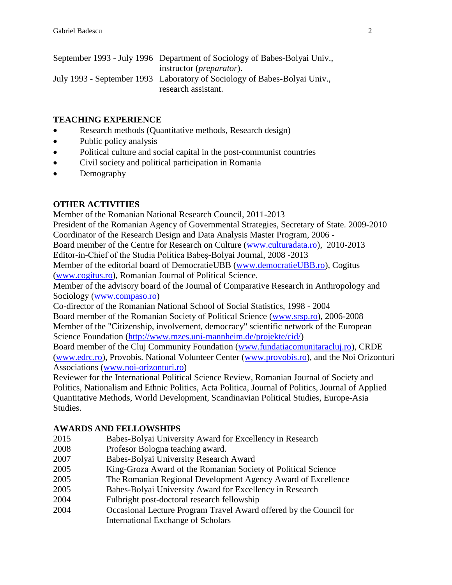| September 1993 - July 1996 Department of Sociology of Babes-Bolyai Univ., |
|---------------------------------------------------------------------------|
| instructor ( <i>preparator</i> ).                                         |
| July 1993 - September 1993 Laboratory of Sociology of Babes-Bolyai Univ., |
| research assistant.                                                       |

## **TEACHING EXPERIENCE**

- Research methods (Quantitative methods, Research design)
- Public policy analysis
- Political culture and social capital in the post-communist countries
- Civil society and political participation in Romania
- Demography

## **OTHER ACTIVITIES**

Member of the Romanian National Research Council, 2011-2013

President of the Romanian Agency of Governmental Strategies, Secretary of State. 2009-2010 Coordinator of the Research Design and Data Analysis Master Program, 2006 -

Board member of the Centre for Research on Culture [\(www.culturadata.ro\)](http://www.culturadata.ro/), 2010-2013 Editor-in-Chief of the Studia Politica Babeş-Bolyai Journal, 2008 -2013

Member of the editorial board of DemocratieUBB [\(www.democratieUBB.ro\)](http://www.democratieubb.ro/), Cogitus

[\(www.cogitus.ro\)](http://www.cogitus.ro/), Romanian Journal of Political Science.

Member of the advisory board of the Journal of Comparative Research in Anthropology and Sociology [\(www.compaso.ro\)](http://www.compaso.ro/)

Co-director of the Romanian National School of Social Statistics, 1998 - 2004 Board member of the Romanian Society of Political Science [\(www.srsp.ro\)](http://www.srsp.ro/), 2006-2008 Member of the "Citizenship, involvement, democracy" scientific network of the European Science Foundation [\(http://www.mzes.uni-mannheim.de/projekte/cid/\)](http://www.mzes.uni-mannheim.de/projekte/cid/)

Board member of the Cluj Community Foundation [\(www.fundatiacomunitaracluj.ro\)](http://www.fundatiacomunitaracluj.ro/), CRDE [\(www.edrc.ro\)](http://www.edrc.ro/), Provobis. National Volunteer Center [\(www.provobis.ro\)](http://www.provobis.ro/), and the Noi Orizonturi Associations [\(www.noi-orizonturi.ro\)](http://www.noi-orizonturi.ro/)

Reviewer for the International Political Science Review, Romanian Journal of Society and Politics, Nationalism and Ethnic Politics, Acta Politica, Journal of Politics, Journal of Applied Quantitative Methods, World Development, Scandinavian Political Studies, Europe-Asia Studies.

# **AWARDS AND FELLOWSHIPS**

- 2015 Babes-Bolyai University Award for Excellency in Research
- 2008 Profesor Bologna teaching award.
- 2007 Babes-Bolyai University Research Award
- 2005 King-Groza Award of the Romanian Society of Political Science
- 2005 The Romanian Regional Development Agency Award of Excellence
- 2005 Babes-Bolyai University Award for Excellency in Research
- 2004 Fulbright post-doctoral research fellowship
- 2004 Occasional Lecture Program Travel Award offered by the Council for International Exchange of Scholars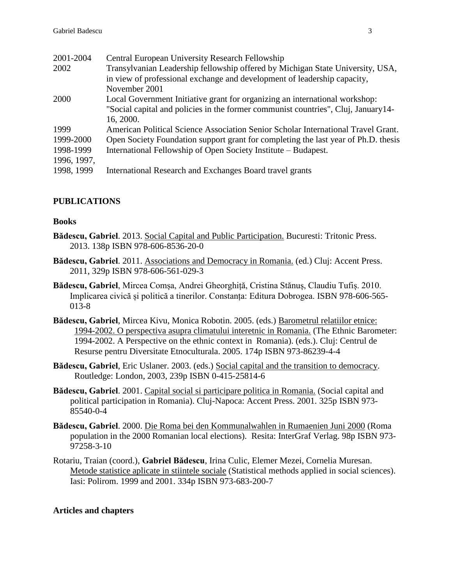| 2001-2004   | <b>Central European University Research Fellowship</b>                             |
|-------------|------------------------------------------------------------------------------------|
| 2002        | Transylvanian Leadership fellowship offered by Michigan State University, USA,     |
|             | in view of professional exchange and development of leadership capacity,           |
|             | November 2001                                                                      |
| 2000        | Local Government Initiative grant for organizing an international workshop:        |
|             | "Social capital and policies in the former communist countries", Cluj, January 14- |
|             | 16, 2000.                                                                          |
| 1999        | American Political Science Association Senior Scholar International Travel Grant.  |
| 1999-2000   | Open Society Foundation support grant for completing the last year of Ph.D. thesis |
| 1998-1999   | International Fellowship of Open Society Institute – Budapest.                     |
| 1996, 1997, |                                                                                    |
| 1998, 1999  | International Research and Exchanges Board travel grants                           |

# **PUBLICATIONS**

### **Books**

- **Bădescu, Gabriel**. 2013. Social Capital and Public Participation. Bucuresti: Tritonic Press. 2013. 138p ISBN 978-606-8536-20-0
- **Bădescu, Gabriel**. 2011. Associations and Democracy in Romania. (ed.) Cluj: Accent Press. 2011, 329p ISBN 978-606-561-029-3
- **Bădescu, Gabriel**, Mircea Comșa, Andrei Gheorghiță, Cristina Stănuș, Claudiu Tufiș. 2010. Implicarea civică și politică a tinerilor. Constanța: Editura Dobrogea. ISBN 978-606-565- 013-8
- **Bădescu, Gabriel**, Mircea Kivu, Monica Robotin. 2005. (eds.) Barometrul relatiilor etnice: 1994-2002. O perspectiva asupra climatului interetnic in Romania. (The Ethnic Barometer: 1994-2002. A Perspective on the ethnic context in Romania). (eds.). Cluj: Centrul de Resurse pentru Diversitate Etnoculturala. 2005. 174p ISBN 973-86239-4-4
- **Bădescu, Gabriel**, Eric Uslaner. 2003. (eds.) Social capital and the transition to democracy. Routledge: London, 2003, 239p ISBN 0-415-25814-6
- **Bădescu, Gabriel**. 2001. Capital social si participare politica in Romania. (Social capital and political participation in Romania). Cluj-Napoca: Accent Press. 2001. 325p ISBN 973- 85540-0-4
- **Bădescu, Gabriel**. 2000. Die Roma bei den Kommunalwahlen in Rumaenien Juni 2000 (Roma population in the 2000 Romanian local elections). Resita: InterGraf Verlag. 98p ISBN 973- 97258-3-10
- Rotariu, Traian (coord.), **Gabriel Bădescu**, Irina Culic, Elemer Mezei, Cornelia Muresan. Metode statistice aplicate in stiintele sociale (Statistical methods applied in social sciences). Iasi: Polirom. 1999 and 2001. 334p ISBN 973-683-200-7

# **Articles and chapters**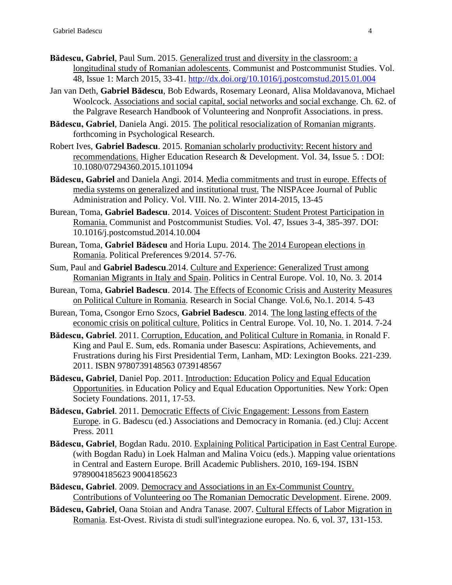- **Bădescu, Gabriel**, Paul Sum. 2015. Generalized trust and diversity in the classroom: a longitudinal study of Romanian adolescents. Communist and Postcommunist Studies. Vol. 48, Issue 1: March 2015, 33-41.<http://dx.doi.org/10.1016/j.postcomstud.2015.01.004>
- Jan van Deth, **Gabriel Bădescu**, Bob Edwards, Rosemary Leonard, Alisa Moldavanova, Michael Woolcock. Associations and social capital, social networks and social exchange. Ch. 62. of the Palgrave Research Handbook of Volunteering and Nonprofit Associations. in press.
- **Bădescu, Gabriel**, Daniela Angi. 2015. The political resocialization of Romanian migrants. forthcoming in Psychological Research.
- Robert Ives, **Gabriel Badescu**. 2015. Romanian scholarly productivity: Recent history and recommendations. Higher Education Research & Development. Vol. 34, Issue 5. : DOI: 10.1080/07294360.2015.1011094
- **Bădescu, Gabriel** and Daniela Angi. 2014. Media commitments and trust in europe. Effects of media systems on generalized and institutional trust. The NISPAcee Journal of Public Administration and Policy. Vol. VIII. No. 2. Winter 2014-2015, 13-45
- Burean, Toma, **Gabriel Badescu**. 2014. Voices of Discontent: Student Protest Participation in Romania. Communist and Postcommunist Studies. Vol. 47, Issues 3-4, 385-397. DOI: 10.1016/j.postcomstud.2014.10.004
- Burean, Toma, **Gabriel Bădescu** and Horia Lupu. 2014. The 2014 European elections in Romania. Political Preferences 9/2014. 57-76.
- Sum, Paul and **Gabriel Badescu**.2014. Culture and Experience: Generalized Trust among Romanian Migrants in Italy and Spain. Politics in Central Europe. Vol. 10, No. 3. 2014
- Burean, Toma, **Gabriel Badescu**. 2014. The Effects of Economic Crisis and Austerity Measures on Political Culture in Romania. Research in Social Change. Vol.6, No.1. 2014. 5-43
- Burean, Toma, Csongor Erno Szocs, **Gabriel Badescu**. 2014. The long lasting effects of the economic crisis on political culture. Politics in Central Europe. Vol. 10, No. 1. 2014. 7-24
- **Bădescu, Gabriel**. 2011. Corruption, Education, and Political Culture in Romania. in Ronald F. King and Paul E. Sum, eds. Romania under Basescu: Aspirations, Achievements, and Frustrations during his First Presidential Term, Lanham, MD: Lexington Books. 221-239. 2011. ISBN 9780739148563 0739148567
- **Bădescu, Gabriel**, Daniel Pop. 2011. Introduction: Education Policy and Equal Education Opportunities. in Education Policy and Equal Education Opportunities. New York: Open Society Foundations. 2011, 17-53.
- **Bădescu, Gabriel**. 2011. Democratic Effects of Civic Engagement: Lessons from Eastern Europe. in G. Badescu (ed.) Associations and Democracy in Romania. (ed.) Cluj: Accent Press. 2011
- **Bădescu, Gabriel**, Bogdan Radu. 2010. Explaining Political Participation in East Central Europe. (with Bogdan Radu) in Loek Halman and Malina Voicu (eds.). Mapping value orientations in Central and Eastern Europe. Brill Academic Publishers. 2010, 169-194. ISBN 9789004185623 9004185623
- **Bădescu, Gabriel**. 2009. Democracy and Associations in an Ex-Communist Country. Contributions of Volunteering oo The Romanian Democratic Development. Eirene. 2009.
- **Bădescu, Gabriel**, Oana Stoian and Andra Tanase. 2007. Cultural Effects of Labor Migration in Romania. Est-Ovest. Rivista di studi sull'integrazione europea. No. 6, vol. 37, 131-153.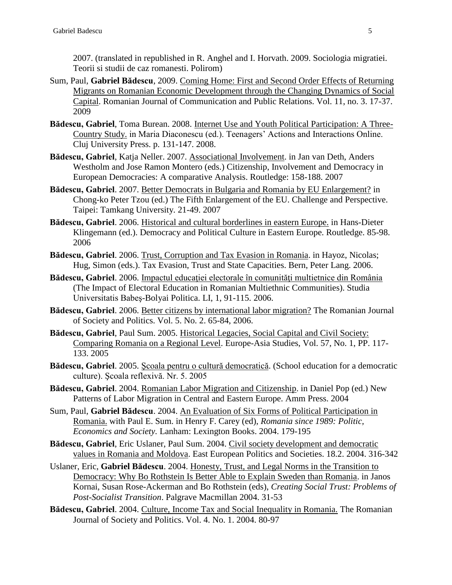2007. (translated in republished in R. Anghel and I. Horvath. 2009. Sociologia migratiei. Teorii si studii de caz romanesti. Polirom)

- Sum, Paul, **Gabriel Bădescu**, 2009. Coming Home: First and Second Order Effects of Returning Migrants on Romanian Economic Development through the Changing Dynamics of Social Capital. Romanian Journal of Communication and Public Relations. Vol. 11, no. 3. 17-37. 2009
- **Bădescu, Gabriel**, Toma Burean. 2008. Internet Use and Youth Political Participation: A Three-Country Study. in Maria Diaconescu (ed.). Teenagers' Actions and Interactions Online. Cluj University Press. p. 131-147. 2008.
- **Bădescu, Gabriel**, Katja Neller. 2007. Associational Involvement. in Jan van Deth, Anders Westholm and Jose Ramon Montero (eds.) Citizenship, Involvement and Democracy in European Democracies: A comparative Analysis. Routledge: 158-188. 2007
- **Bădescu, Gabriel**. 2007. Better Democrats in Bulgaria and Romania by EU Enlargement? in Chong-ko Peter Tzou (ed.) The Fifth Enlargement of the EU. Challenge and Perspective. Taipei: Tamkang University. 21-49. 2007
- **Bădescu, Gabriel**. 2006. Historical and cultural borderlines in eastern Europe. in Hans-Dieter Klingemann (ed.). Democracy and Political Culture in Eastern Europe. Routledge. 85-98. 2006
- **Bădescu, Gabriel**. 2006. Trust, Corruption and Tax Evasion in Romania. in Hayoz, Nicolas; Hug, Simon (eds.). Tax Evasion, Trust and State Capacities. Bern, Peter Lang. 2006.
- Bădescu, Gabriel. 2006. Impactul educatiei electorale în comunități multietnice din România (The Impact of Electoral Education in Romanian Multiethnic Communities). Studia Universitatis Babeş-Bolyai Politica. LI, 1, 91-115. 2006.
- **Bădescu, Gabriel**. 2006. Better citizens by international labor migration? The Romanian Journal of Society and Politics. Vol. 5. No. 2. 65-84, 2006.
- **Bădescu, Gabriel**, Paul Sum. 2005. Historical Legacies, Social Capital and Civil Society: Comparing Romania on a Regional Level. Europe-Asia Studies, Vol. 57, No. 1, PP. 117- 133. 2005
- **Bădescu, Gabriel**. 2005. Şcoala pentru o cultură democratică. (School education for a democratic culture). Şcoala reflexivă. Nr. 5. 2005
- **Bădescu, Gabriel**. 2004. Romanian Labor Migration and Citizenship. in Daniel Pop (ed.) New Patterns of Labor Migration in Central and Eastern Europe. Amm Press. 2004
- Sum, Paul, **Gabriel Bădescu**. 2004. An Evaluation of Six Forms of Political Participation in Romania. with Paul E. Sum. in Henry F. Carey (ed), *Romania since 1989: Politic, Economics and Society.* Lanham: Lexington Books. 2004. 179-195
- **Bădescu, Gabriel**, Eric Uslaner, Paul Sum. 2004. Civil society development and democratic values in Romania and Moldova. East European Politics and Societies. 18.2. 2004. 316-342
- Uslaner, Eric, **Gabriel Bădescu**. 2004. Honesty, Trust, and Legal Norms in the Transition to Democracy: Why Bo Rothstein Is Better Able to Explain Sweden than Romania. in Janos Kornai, Susan Rose-Ackerman and Bo Rothstein (eds), *Creating Social Trust: Problems of Post-Socialist Transition*. Palgrave Macmillan 2004. 31-53
- **Bădescu, Gabriel**. 2004. Culture, Income Tax and Social Inequality in Romania. The Romanian Journal of Society and Politics. Vol. 4. No. 1. 2004. 80-97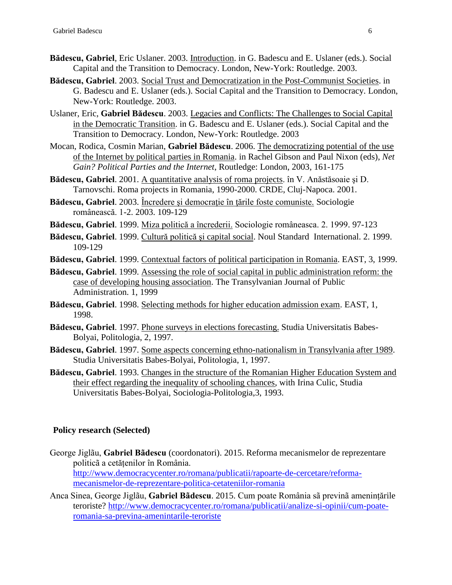- **Bădescu, Gabriel**, Eric Uslaner. 2003. Introduction. in G. Badescu and E. Uslaner (eds.). Social Capital and the Transition to Democracy. London, New-York: Routledge. 2003.
- **Bădescu, Gabriel**. 2003. Social Trust and Democratization in the Post-Communist Societies. in G. Badescu and E. Uslaner (eds.). Social Capital and the Transition to Democracy. London, New-York: Routledge. 2003.
- Uslaner, Eric, **Gabriel Bădescu**. 2003. Legacies and Conflicts: The Challenges to Social Capital in the Democratic Transition. in G. Badescu and E. Uslaner (eds.). Social Capital and the Transition to Democracy. London, New-York: Routledge. 2003
- Mocan, Rodica, Cosmin Marian, **Gabriel Bădescu**. 2006. The democratizing potential of the use of the Internet by political parties in Romania. in Rachel Gibson and Paul Nixon (eds), *Net Gain? Political Parties and the Internet*, Routledge: London, 2003, 161-175
- Bădescu, Gabriel. 2001. A quantitative analysis of roma projects. în V. Anăstăsoaie și D. Tarnovschi. Roma projects in Romania, 1990-2000. CRDE, Cluj-Napoca. 2001.
- **Bădescu, Gabriel**. 2003. Încredere şi democraţie în ţările foste comuniste. Sociologie românească. 1-2. 2003. 109-129
- **Bădescu, Gabriel**. 1999. Miza politică a încrederii. Sociologie româneasca. 2. 1999. 97-123
- **Bădescu, Gabriel**. 1999. Cultură politică şi capital social. Noul Standard International. 2. 1999. 109-129
- **Bădescu, Gabriel**. 1999. Contextual factors of political participation in Romania. EAST, 3, 1999.
- **Bădescu, Gabriel**. 1999. Assessing the role of social capital in public administration reform: the case of developing housing association. The Transylvanian Journal of Public Administration. 1, 1999
- **Bădescu, Gabriel**. 1998. Selecting methods for higher education admission exam. EAST, 1, 1998.
- **Bădescu, Gabriel**. 1997. Phone surveys in elections forecasting. Studia Universitatis Babes-Bolyai, Politologia, 2, 1997.
- **Bădescu, Gabriel**. 1997. Some aspects concerning ethno-nationalism in Transylvania after 1989. Studia Universitatis Babes-Bolyai, Politologia, 1, 1997.
- **Bădescu, Gabriel**. 1993. Changes in the structure of the Romanian Higher Education System and their effect regarding the inequality of schooling chances, with Irina Culic, Studia Universitatis Babes-Bolyai, Sociologia-Politologia,3, 1993.

### **Policy research (Selected)**

- George Jiglãu, **Gabriel Bãdescu** (coordonatori). 2015. Reforma mecanismelor de reprezentare politicã a cetățenilor în România. [http://www.democracycenter.ro/romana/publicatii/rapoarte-de-cercetare/reforma](http://www.democracycenter.ro/romana/publicatii/rapoarte-de-cercetare/reforma-mecanismelor-de-reprezentare-politica-cetateniilor-romania)[mecanismelor-de-reprezentare-politica-cetateniilor-romania](http://www.democracycenter.ro/romana/publicatii/rapoarte-de-cercetare/reforma-mecanismelor-de-reprezentare-politica-cetateniilor-romania)
- Anca Sinea, George Jiglãu, **Gabriel Bãdescu**. 2015. Cum poate România sã previnã amenințările teroriste? [http://www.democracycenter.ro/romana/publicatii/analize-si-opinii/cum-poate](http://www.democracycenter.ro/romana/publicatii/analize-si-opinii/cum-poate-romania-sa-previna-amenintarile-teroriste)[romania-sa-previna-amenintarile-teroriste](http://www.democracycenter.ro/romana/publicatii/analize-si-opinii/cum-poate-romania-sa-previna-amenintarile-teroriste)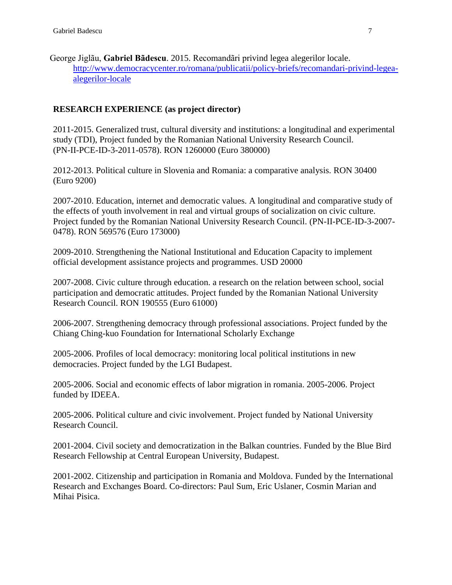George Jiglãu, **Gabriel Bãdescu**. 2015. Recomandãri privind legea alegerilor locale. [http://www.democracycenter.ro/romana/publicatii/policy-briefs/recomandari-privind-legea](http://www.democracycenter.ro/romana/publicatii/policy-briefs/recomandari-privind-legea-alegerilor-locale)[alegerilor-locale](http://www.democracycenter.ro/romana/publicatii/policy-briefs/recomandari-privind-legea-alegerilor-locale)

### **RESEARCH EXPERIENCE (as project director)**

2011-2015. Generalized trust, cultural diversity and institutions: a longitudinal and experimental study (TDI), Project funded by the Romanian National University Research Council. (PN-II-PCE-ID-3-2011-0578). RON 1260000 (Euro 380000)

2012-2013. Political culture in Slovenia and Romania: a comparative analysis. RON 30400 (Euro 9200)

2007-2010. Education, internet and democratic values. A longitudinal and comparative study of the effects of youth involvement in real and virtual groups of socialization on civic culture. Project funded by the Romanian National University Research Council. (PN-II-PCE-ID-3-2007- 0478). RON 569576 (Euro 173000)

2009-2010. Strengthening the National Institutional and Education Capacity to implement official development assistance projects and programmes. USD 20000

2007-2008. Civic culture through education. a research on the relation between school, social participation and democratic attitudes. Project funded by the Romanian National University Research Council. RON 190555 (Euro 61000)

2006-2007. Strengthening democracy through professional associations. Project funded by the Chiang Ching-kuo Foundation for International Scholarly Exchange

2005-2006. Profiles of local democracy: monitoring local political institutions in new democracies. Project funded by the LGI Budapest.

2005-2006. Social and economic effects of labor migration in romania. 2005-2006. Project funded by IDEEA.

2005-2006. Political culture and civic involvement. Project funded by National University Research Council.

2001-2004. Civil society and democratization in the Balkan countries. Funded by the Blue Bird Research Fellowship at Central European University, Budapest.

2001-2002. Citizenship and participation in Romania and Moldova. Funded by the International Research and Exchanges Board. Co-directors: Paul Sum, Eric Uslaner, Cosmin Marian and Mihai Pisica.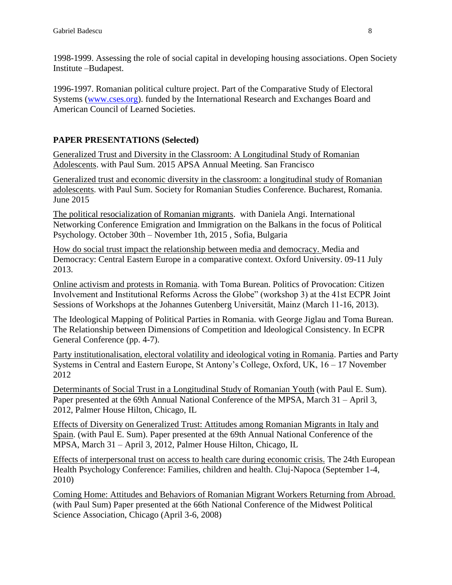1998-1999. Assessing the role of social capital in developing housing associations. Open Society Institute –Budapest.

1996-1997. Romanian political culture project. Part of the Comparative Study of Electoral Systems [\(www.cses.org\)](http://www.cses.org/). funded by the International Research and Exchanges Board and American Council of Learned Societies.

### **PAPER PRESENTATIONS (Selected)**

Generalized Trust and Diversity in the Classroom: A Longitudinal Study of Romanian Adolescents. with Paul Sum. 2015 APSA Annual Meeting. San Francisco

Generalized trust and economic diversity in the classroom: a longitudinal study of Romanian adolescents. with Paul Sum. Society for Romanian Studies Conference. Bucharest, Romania. June 2015

The political resocialization of Romanian migrants. with Daniela Angi. International Networking Conference Emigration and Immigration on the Balkans in the focus of Political Psychology. October 30th – November 1th, 2015 , Sofia, Bulgaria

How do social trust impact the relationship between media and democracy. Media and Democracy: Central Eastern Europe in a comparative context. Oxford University. 09-11 July 2013.

Online activism and protests in Romania. with Toma Burean. Politics of Provocation: Citizen Involvement and Institutional Reforms Across the Globe" (workshop 3) at the 41st ECPR Joint Sessions of Workshops at the Johannes Gutenberg Universität, Mainz (March 11-16, 2013).

The Ideological Mapping of Political Parties in Romania. with George Jiglau and Toma Burean. The Relationship between Dimensions of Competition and Ideological Consistency. In ECPR General Conference (pp. 4-7).

Party institutionalisation, electoral volatility and ideological voting in Romania. Parties and Party Systems in Central and Eastern Europe, St Antony's College, Oxford, UK, 16 – 17 November 2012

Determinants of Social Trust in a Longitudinal Study of Romanian Youth (with Paul E. Sum). Paper presented at the 69th Annual National Conference of the MPSA, March 31 – April 3, 2012, Palmer House Hilton, Chicago, IL

Effects of Diversity on Generalized Trust: Attitudes among Romanian Migrants in Italy and Spain. (with Paul E. Sum). Paper presented at the 69th Annual National Conference of the MPSA, March 31 – April 3, 2012, Palmer House Hilton, Chicago, IL

Effects of interpersonal trust on access to health care during economic crisis. The 24th European Health Psychology Conference: Families, children and health. Cluj-Napoca (September 1-4, 2010)

Coming Home: Attitudes and Behaviors of Romanian Migrant Workers Returning from Abroad. (with Paul Sum) Paper presented at the 66th National Conference of the Midwest Political Science Association, Chicago (April 3-6, 2008)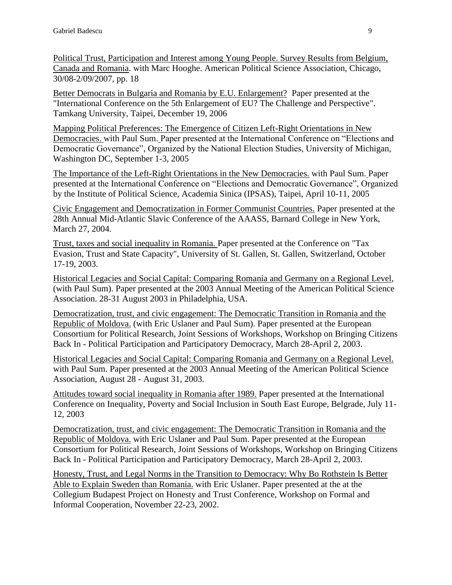Political Trust, Participation and Interest among Young People. Survey Results from Belgium, Canada and Romania. with Marc Hooghe. American Political Science Association, Chicago, 30/08-2/09/2007, pp. 18

Better Democrats in Bulgaria and Romania by E.U. Enlargement? Paper presented at the "International Conference on the 5th Enlargement of EU? The Challenge and Perspective". Tamkang University, Taipei, December 19, 2006

Mapping Political Preferences: The Emergence of Citizen Left-Right Orientations in New Democracies. with Paul Sum. Paper presented at the International Conference on "Elections and Democratic Governance", Organized by the National Election Studies, University of Michigan, Washington DC, September 1-3, 2005

The Importance of the Left-Right Orientations in the New Democracies. with Paul Sum. Paper presented at the International Conference on "Elections and Democratic Governance", Organized by the Institute of Political Science, Academia Sinica (IPSAS), Taipei, April 10-11, 2005

Civic Engagement and Democratization in Former Communist Countries. Paper presented at the 28th Annual Mid-Atlantic Slavic Conference of the AAASS, Barnard College in New York, March 27, 2004.

Trust, taxes and social inequality in Romania. Paper presented at the Conference on "Tax Evasion, Trust and State Capacity", University of St. Gallen, St. Gallen, Switzerland, October 17-19, 2003.

Historical Legacies and Social Capital: Comparing Romania and Germany on a Regional Level, (with Paul Sum). Paper presented at the 2003 Annual Meeting of the American Political Science Association. 28-31 August 2003 in Philadelphia, USA.

Democratization, trust, and civic engagement: The Democratic Transition in Romania and the Republic of Moldova. (with Eric Uslaner and Paul Sum). Paper presented at the European Consortium for Political Research, Joint Sessions of Workshops, Workshop on Bringing Citizens Back In - Political Participation and Participatory Democracy, March 28-April 2, 2003.

Historical Legacies and Social Capital: Comparing Romania and Germany on a Regional Level. with Paul Sum. Paper presented at the 2003 Annual Meeting of the American Political Science Association, August 28 - August 31, 2003.

Attitudes toward social inequality in Romania after 1989. Paper presented at the International Conference on Inequality, Poverty and Social Inclusion in South East Europe, Belgrade, July 11- 12, 2003

Democratization, trust, and civic engagement: The Democratic Transition in Romania and the Republic of Moldova. with Eric Uslaner and Paul Sum. Paper presented at the European Consortium for Political Research, Joint Sessions of Workshops, Workshop on Bringing Citizens Back In - Political Participation and Participatory Democracy, March 28-April 2, 2003.

Honesty, Trust, and Legal Norms in the Transition to Democracy: Why Bo Rothstein Is Better Able to Explain Sweden than Romania. with Eric Uslaner. Paper presented at the at the Collegium Budapest Project on Honesty and Trust Conference, Workshop on Formal and Informal Cooperation, November 22-23, 2002.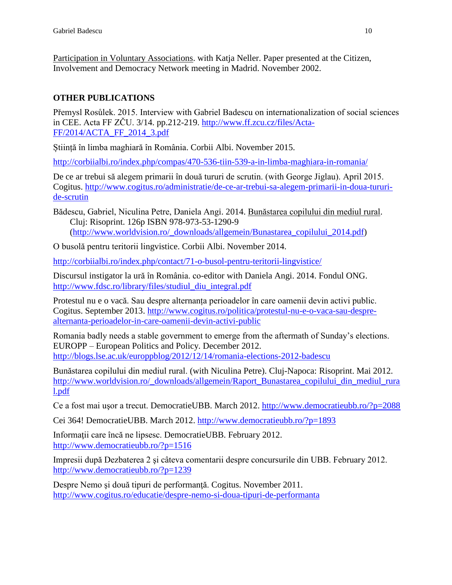Participation in Voluntary Associations. with Katja Neller. Paper presented at the Citizen, Involvement and Democracy Network meeting in Madrid. November 2002.

# **OTHER PUBLICATIONS**

Přemysl Rosůlek. 2015. Interview with Gabriel Badescu on internationalization of social sciences in CEE. Acta FF ZČU. 3/14. pp.212-219. [http://www.ff.zcu.cz/files/Acta-](http://www.ff.zcu.cz/files/Acta-FF/2014/ACTA_FF_2014_3.pdf)[FF/2014/ACTA\\_FF\\_2014\\_3.pdf](http://www.ff.zcu.cz/files/Acta-FF/2014/ACTA_FF_2014_3.pdf)

Știință în limba maghiară în România. Corbii Albi. November 2015.

<http://corbiialbi.ro/index.php/compas/470-536-tiin-539-a-in-limba-maghiara-in-romania/>

De ce ar trebui să alegem primarii în două tururi de scrutin. (with George Jiglau). April 2015. Cogitus. [http://www.cogitus.ro/administratie/de-ce-ar-trebui-sa-alegem-primarii-in-doua-tururi](http://www.cogitus.ro/administratie/de-ce-ar-trebui-sa-alegem-primarii-in-doua-tururi-de-scrutin)[de-scrutin](http://www.cogitus.ro/administratie/de-ce-ar-trebui-sa-alegem-primarii-in-doua-tururi-de-scrutin)

Bădescu, Gabriel, Niculina Petre, Daniela Angi. 2014. Bunăstarea copilului din mediul rural. Cluj: Risoprint. 126p ISBN 978-973-53-1290-9 [\(http://www.worldvision.ro/\\_downloads/allgemein/Bunastarea\\_copilului\\_2014.pdf\)](http://www.worldvision.ro/_downloads/allgemein/Bunastarea_copilului_2014.pdf)

O busolă pentru teritorii lingvistice. Corbii Albi. November 2014.

<http://corbiialbi.ro/index.php/contact/71-o-busol-pentru-teritorii-lingvistice/>

Discursul instigator la ură în România. co-editor with Daniela Angi. 2014. Fondul ONG. [http://www.fdsc.ro/library/files/studiul\\_diu\\_integral.pdf](http://www.fdsc.ro/library/files/studiul_diu_integral.pdf)

Protestul nu e o vacă. Sau despre alternanța perioadelor în care oamenii devin activi public. Cogitus. September 2013. [http://www.cogitus.ro/politica/protestul-nu-e-o-vaca-sau-despre](http://www.cogitus.ro/politica/protestul-nu-e-o-vaca-sau-despre-alternanta-perioadelor-in-care-oamenii-devin-activi-public)[alternanta-perioadelor-in-care-oamenii-devin-activi-public](http://www.cogitus.ro/politica/protestul-nu-e-o-vaca-sau-despre-alternanta-perioadelor-in-care-oamenii-devin-activi-public)

Romania badly needs a stable government to emerge from the aftermath of Sunday's elections. EUROPP – European Politics and Policy. December 2012. <http://blogs.lse.ac.uk/europpblog/2012/12/14/romania-elections-2012-badescu>

Bunăstarea copilului din mediul rural. (with Niculina Petre). Cluj-Napoca: Risoprint. Mai 2012. [http://www.worldvision.ro/\\_downloads/allgemein/Raport\\_Bunastarea\\_copilului\\_din\\_mediul\\_rura](http://www.worldvision.ro/_downloads/allgemein/Raport_Bunastarea_copilului_din_mediul_rural.pdf) [l.pdf](http://www.worldvision.ro/_downloads/allgemein/Raport_Bunastarea_copilului_din_mediul_rural.pdf)

Ce a fost mai uşor a trecut. DemocratieUBB. March 2012.<http://www.democratieubb.ro/?p=2088>

Cei 364! DemocratieUBB. March 2012.<http://www.democratieubb.ro/?p=1893>

Informaţii care încă ne lipsesc. DemocratieUBB. February 2012. <http://www.democratieubb.ro/?p=1516>

Impresii după Dezbaterea 2 şi câteva comentarii despre concursurile din UBB. February 2012. <http://www.democratieubb.ro/?p=1239>

Despre Nemo și două tipuri de performanță. Cogitus. November 2011. <http://www.cogitus.ro/educatie/despre-nemo-si-doua-tipuri-de-performanta>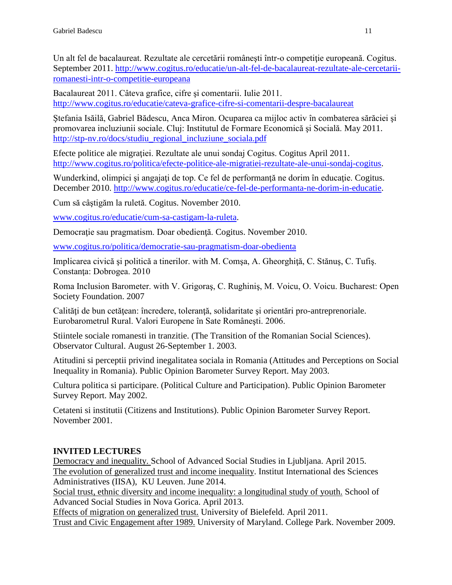Un alt fel de bacalaureat. Rezultate ale cercetării românești într-o competitie europeană. Cogitus. September 2011. [http://www.cogitus.ro/educatie/un-alt-fel-de-bacalaureat-rezultate-ale-cercetarii](http://www.cogitus.ro/educatie/un-alt-fel-de-bacalaureat-rezultate-ale-cercetarii-romanesti-intr-o-competitie-europeana)[romanesti-intr-o-competitie-europeana](http://www.cogitus.ro/educatie/un-alt-fel-de-bacalaureat-rezultate-ale-cercetarii-romanesti-intr-o-competitie-europeana)

Bacalaureat 2011. Câteva grafice, cifre şi comentarii. Iulie 2011. <http://www.cogitus.ro/educatie/cateva-grafice-cifre-si-comentarii-despre-bacalaureat>

Ştefania Isăilă, Gabriel Bădescu, Anca Miron. Ocuparea ca mijloc activ în combaterea sărăciei şi promovarea incluziunii sociale. Cluj: Institutul de Formare Economică şi Socială. May 2011. [http://stp-nv.ro/docs/studiu\\_regional\\_incluziune\\_sociala.pdf](http://stp-nv.ro/docs/studiu_regional_incluziune_sociala.pdf)

Efecte politice ale migraţiei. Rezultate ale unui sondaj Cogitus. Cogitus April 2011. [http://www.cogitus.ro/politica/efecte-politice-ale-migratiei-rezultate-ale-unui-sondaj-cogitus.](http://www.cogitus.ro/politica/efecte-politice-ale-migratiei-rezultate-ale-unui-sondaj-cogitus)

Wunderkind, olimpici și angajați de top. Ce fel de performanță ne dorim în educație. Cogitus. December 2010. [http://www.cogitus.ro/educatie/ce-fel-de-performanta-ne-dorim-in-educatie.](http://www.cogitus.ro/educatie/ce-fel-de-performanta-ne-dorim-in-educatie)

Cum să câştigăm la ruletă. Cogitus. November 2010.

[www.cogitus.ro/educatie/cum-sa-castigam-la-ruleta.](http://www.cogitus.ro/educatie/cum-sa-castigam-la-ruleta)

Democrație sau pragmatism. Doar obediență. Cogitus. November 2010.

[www.cogitus.ro/politica/democratie-sau-pragmatism-doar-obedienta](http://www.cogitus.ro/politica/democratie-sau-pragmatism-doar-obedienta)

Implicarea civică şi politică a tinerilor. with M. Comşa, A. Gheorghiţă, C. Stănuş, C. Tufiş. Constanţa: Dobrogea. 2010

Roma Inclusion Barometer. with V. Grigoraş, C. Rughiniş, M. Voicu, O. Voicu. Bucharest: Open Society Foundation. 2007

Calități de bun cetătean: încredere, toleranță, solidaritate și orientări pro-antreprenoriale. Eurobarometrul Rural. Valori Europene în Sate Româneşti. 2006.

Stiintele sociale romanesti in tranzitie. (The Transition of the Romanian Social Sciences). Observator Cultural. August 26-September 1. 2003.

Atitudini si perceptii privind inegalitatea sociala in Romania (Attitudes and Perceptions on Social Inequality in Romania). Public Opinion Barometer Survey Report. May 2003.

Cultura politica si participare. (Political Culture and Participation). Public Opinion Barometer Survey Report. May 2002.

Cetateni si institutii (Citizens and Institutions). Public Opinion Barometer Survey Report. November 2001.

# **INVITED LECTURES**

Democracy and inequality. School of Advanced Social Studies in Ljubljana. April 2015. The evolution of generalized trust and income inequality. Institut International des Sciences Administratives (IISA), KU Leuven. June 2014.

Social trust, ethnic diversity and income inequality: a longitudinal study of youth. School of Advanced Social Studies in Nova Gorica. April 2013.

Effects of migration on generalized trust. University of Bielefeld. April 2011. Trust and Civic Engagement after 1989. University of Maryland. College Park. November 2009.